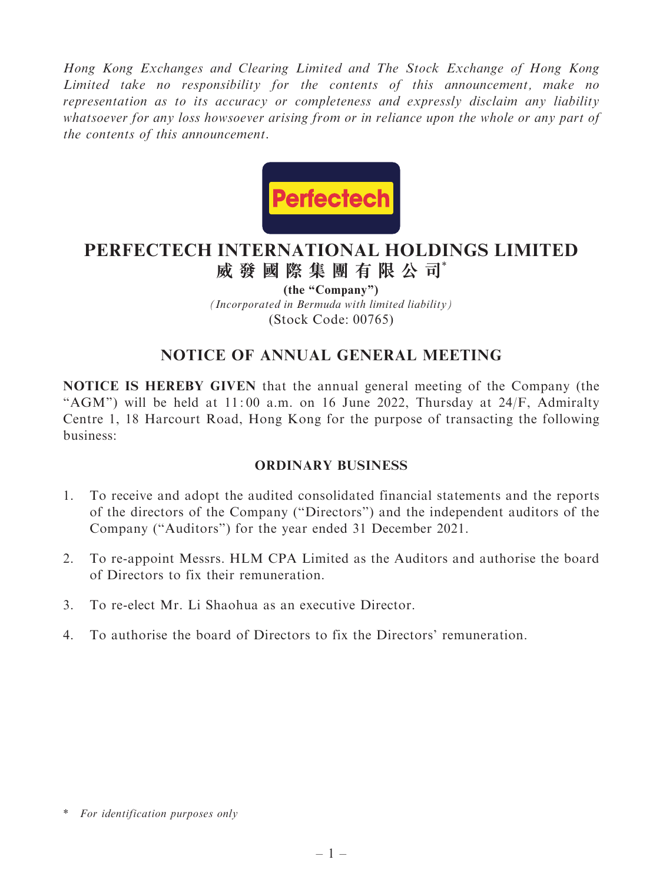Hong Kong Exchanges and Clearing Limited and The Stock Exchange of Hong Kong Limited take no responsibility for the contents of this announcement, make no representation as to its accuracy or completeness and expressly disclaim any liability whatsoever for any loss howsoever arising from or in reliance upon the whole or any part of the contents of this announcement.



# **PERFECTECH INTERNATIONAL HOLDINGS LIMITED 威發國際集團有限公司**\*

*(Incorporated in Bermuda with limited liability)* (Stock Code: 00765) **(the "Company")**

# NOTICE OF ANNUAL GENERAL MEETING

NOTICE IS HEREBY GIVEN that the annual general meeting of the Company (the "AGM") will be held at  $11:00$  a.m. on 16 June 2022, Thursday at 24/F, Admiralty Centre 1, 18 Harcourt Road, Hong Kong for the purpose of transacting the following business:

### ORDINARY BUSINESS

- 1. To receive and adopt the audited consolidated financial statements and the reports of the directors of the Company (''Directors'') and the independent auditors of the Company (''Auditors'') for the year ended 31 December 2021.
- 2. To re-appoint Messrs. HLM CPA Limited as the Auditors and authorise the board of Directors to fix their remuneration.
- 3. To re-elect Mr. Li Shaohua as an executive Director.
- 4. To authorise the board of Directors to fix the Directors' remuneration.

<sup>\*</sup> For identification purposes only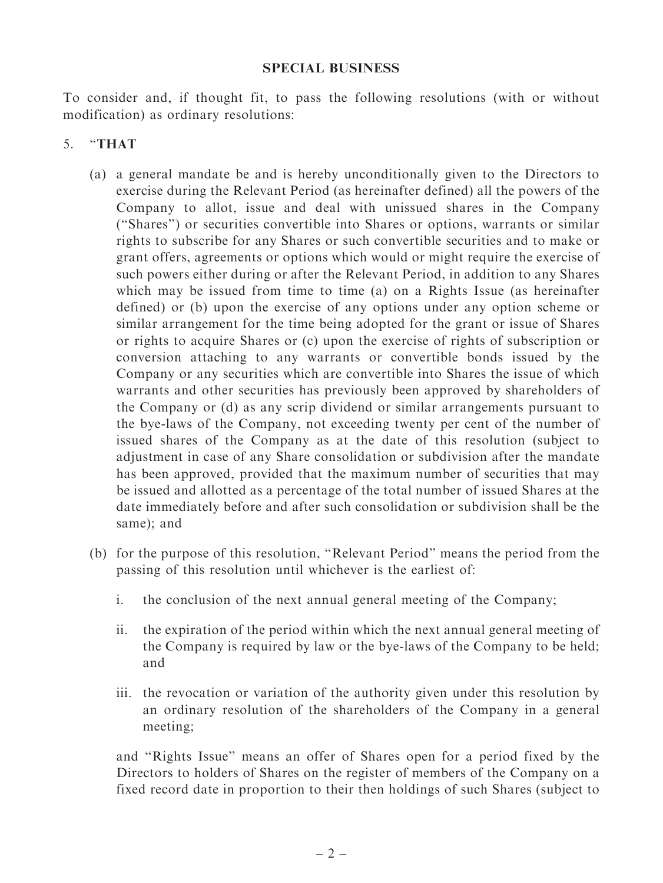#### SPECIAL BUSINESS

To consider and, if thought fit, to pass the following resolutions (with or without modification) as ordinary resolutions:

## 5. ''THAT

- (a) a general mandate be and is hereby unconditionally given to the Directors to exercise during the Relevant Period (as hereinafter defined) all the powers of the Company to allot, issue and deal with unissued shares in the Company (''Shares'') or securities convertible into Shares or options, warrants or similar rights to subscribe for any Shares or such convertible securities and to make or grant offers, agreements or options which would or might require the exercise of such powers either during or after the Relevant Period, in addition to any Shares which may be issued from time to time (a) on a Rights Issue (as hereinafter defined) or (b) upon the exercise of any options under any option scheme or similar arrangement for the time being adopted for the grant or issue of Shares or rights to acquire Shares or (c) upon the exercise of rights of subscription or conversion attaching to any warrants or convertible bonds issued by the Company or any securities which are convertible into Shares the issue of which warrants and other securities has previously been approved by shareholders of the Company or (d) as any scrip dividend or similar arrangements pursuant to the bye-laws of the Company, not exceeding twenty per cent of the number of issued shares of the Company as at the date of this resolution (subject to adjustment in case of any Share consolidation or subdivision after the mandate has been approved, provided that the maximum number of securities that may be issued and allotted as a percentage of the total number of issued Shares at the date immediately before and after such consolidation or subdivision shall be the same); and
- (b) for the purpose of this resolution, ''Relevant Period'' means the period from the passing of this resolution until whichever is the earliest of:
	- i. the conclusion of the next annual general meeting of the Company;
	- ii. the expiration of the period within which the next annual general meeting of the Company is required by law or the bye-laws of the Company to be held; and
	- iii. the revocation or variation of the authority given under this resolution by an ordinary resolution of the shareholders of the Company in a general meeting;

and ''Rights Issue'' means an offer of Shares open for a period fixed by the Directors to holders of Shares on the register of members of the Company on a fixed record date in proportion to their then holdings of such Shares (subject to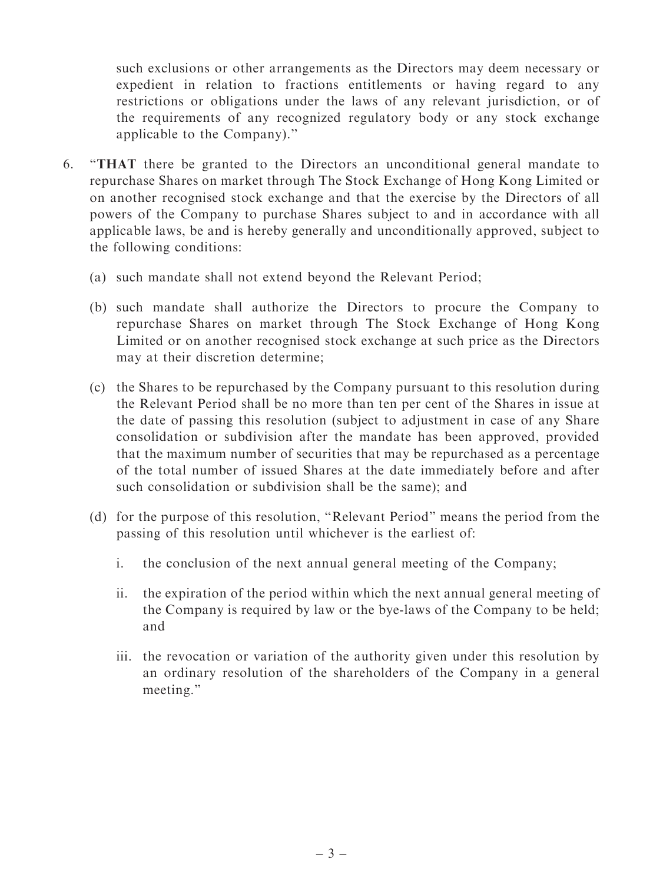such exclusions or other arrangements as the Directors may deem necessary or expedient in relation to fractions entitlements or having regard to any restrictions or obligations under the laws of any relevant jurisdiction, or of the requirements of any recognized regulatory body or any stock exchange applicable to the Company).''

- 6. ''THAT there be granted to the Directors an unconditional general mandate to repurchase Shares on market through The Stock Exchange of Hong Kong Limited or on another recognised stock exchange and that the exercise by the Directors of all powers of the Company to purchase Shares subject to and in accordance with all applicable laws, be and is hereby generally and unconditionally approved, subject to the following conditions:
	- (a) such mandate shall not extend beyond the Relevant Period;
	- (b) such mandate shall authorize the Directors to procure the Company to repurchase Shares on market through The Stock Exchange of Hong Kong Limited or on another recognised stock exchange at such price as the Directors may at their discretion determine;
	- (c) the Shares to be repurchased by the Company pursuant to this resolution during the Relevant Period shall be no more than ten per cent of the Shares in issue at the date of passing this resolution (subject to adjustment in case of any Share consolidation or subdivision after the mandate has been approved, provided that the maximum number of securities that may be repurchased as a percentage of the total number of issued Shares at the date immediately before and after such consolidation or subdivision shall be the same); and
	- (d) for the purpose of this resolution, ''Relevant Period'' means the period from the passing of this resolution until whichever is the earliest of:
		- i. the conclusion of the next annual general meeting of the Company;
		- ii. the expiration of the period within which the next annual general meeting of the Company is required by law or the bye-laws of the Company to be held; and
		- iii. the revocation or variation of the authority given under this resolution by an ordinary resolution of the shareholders of the Company in a general meeting.''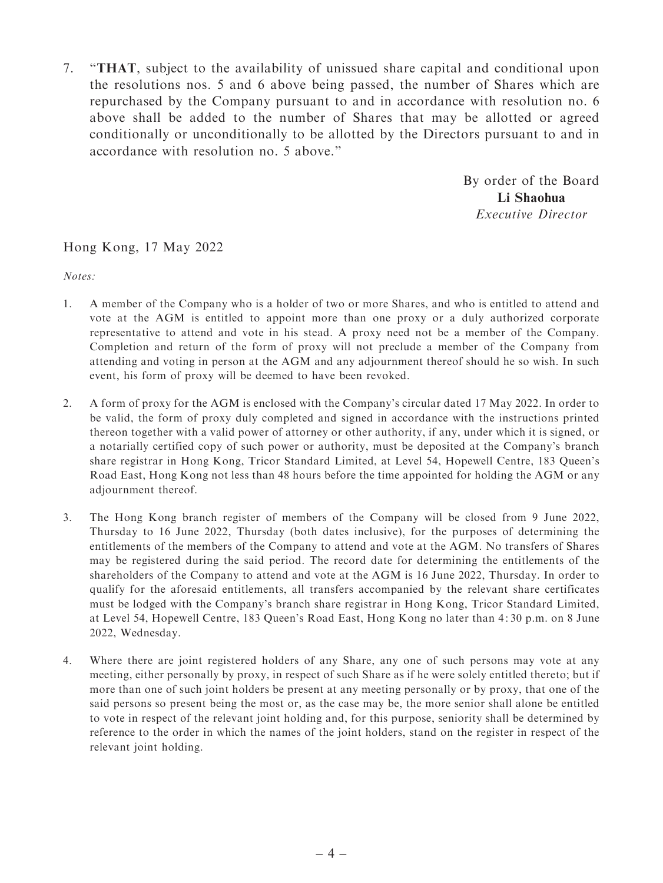7. ''THAT, subject to the availability of unissued share capital and conditional upon the resolutions nos. 5 and 6 above being passed, the number of Shares which are repurchased by the Company pursuant to and in accordance with resolution no. 6 above shall be added to the number of Shares that may be allotted or agreed conditionally or unconditionally to be allotted by the Directors pursuant to and in accordance with resolution no. 5 above.''

> By order of the Board Li Shaohua Executive Director

#### Hong Kong, 17 May 2022

Notes:

- 1. A member of the Company who is a holder of two or more Shares, and who is entitled to attend and vote at the AGM is entitled to appoint more than one proxy or a duly authorized corporate representative to attend and vote in his stead. A proxy need not be a member of the Company. Completion and return of the form of proxy will not preclude a member of the Company from attending and voting in person at the AGM and any adjournment thereof should he so wish. In such event, his form of proxy will be deemed to have been revoked.
- 2. A form of proxy for the AGM is enclosed with the Company's circular dated 17 May 2022. In order to be valid, the form of proxy duly completed and signed in accordance with the instructions printed thereon together with a valid power of attorney or other authority, if any, under which it is signed, or a notarially certified copy of such power or authority, must be deposited at the Company's branch share registrar in Hong Kong, Tricor Standard Limited, at Level 54, Hopewell Centre, 183 Queen's Road East, Hong Kong not less than 48 hours before the time appointed for holding the AGM or any adjournment thereof.
- 3. The Hong Kong branch register of members of the Company will be closed from 9 June 2022, Thursday to 16 June 2022, Thursday (both dates inclusive), for the purposes of determining the entitlements of the members of the Company to attend and vote at the AGM. No transfers of Shares may be registered during the said period. The record date for determining the entitlements of the shareholders of the Company to attend and vote at the AGM is 16 June 2022, Thursday. In order to qualify for the aforesaid entitlements, all transfers accompanied by the relevant share certificates must be lodged with the Company's branch share registrar in Hong Kong, Tricor Standard Limited, at Level 54, Hopewell Centre, 183 Queen's Road East, Hong Kong no later than 4: 30 p.m. on 8 June 2022, Wednesday.
- 4. Where there are joint registered holders of any Share, any one of such persons may vote at any meeting, either personally by proxy, in respect of such Share as if he were solely entitled thereto; but if more than one of such joint holders be present at any meeting personally or by proxy, that one of the said persons so present being the most or, as the case may be, the more senior shall alone be entitled to vote in respect of the relevant joint holding and, for this purpose, seniority shall be determined by reference to the order in which the names of the joint holders, stand on the register in respect of the relevant joint holding.